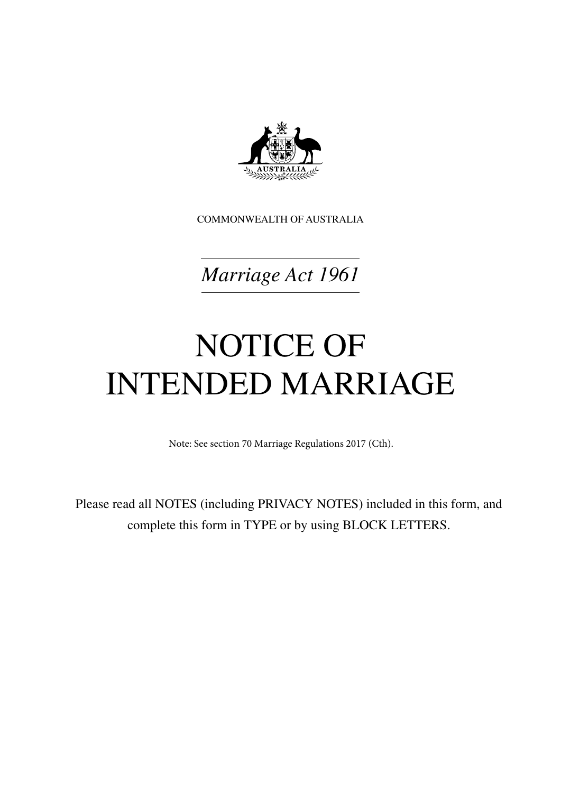

COMMONWEALTH OF AUSTRALIA

*Marriage Act 1961*

# NOTICE OF INTENDED MARRIAGE

Note: See section 70 Marriage Regulations 2017 (Cth).

Please read all NOTES (including PRIVACY NOTES) included in this form, and complete this form in TYPE or by using BLOCK LETTERS.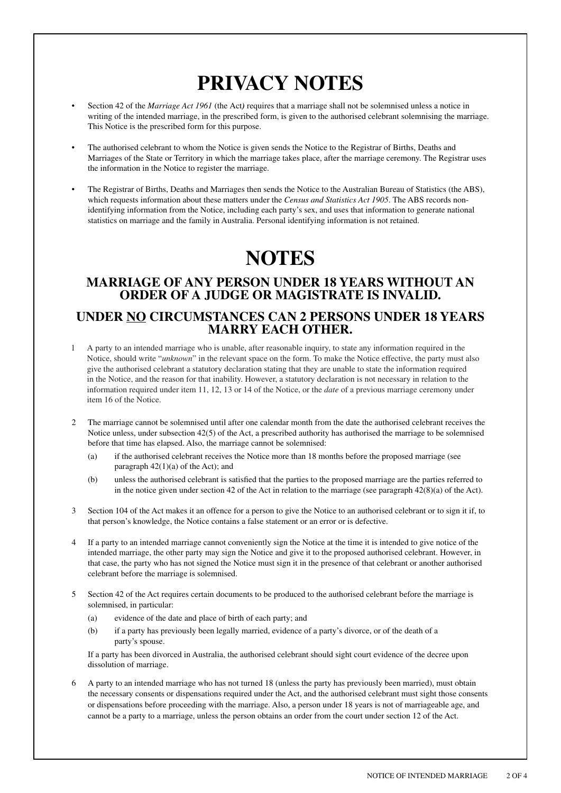## **PRIVACY NOTES**

- Section 42 of the *Marriage Act 1961* (the Act) requires that a marriage shall not be solemnised unless a notice in writing of the intended marriage, in the prescribed form, is given to the authorised celebrant solemnising the marriage. This Notice is the prescribed form for this purpose.
- The authorised celebrant to whom the Notice is given sends the Notice to the Registrar of Births, Deaths and Marriages of the State or Territory in which the marriage takes place, after the marriage ceremony. The Registrar uses the information in the Notice to register the marriage.
- The Registrar of Births, Deaths and Marriages then sends the Notice to the Australian Bureau of Statistics (the ABS), which requests information about these matters under the *Census and Statistics Act 1905*. The ABS records nonidentifying information from the Notice, including each party's sex, and uses that information to generate national statistics on marriage and the family in Australia. Personal identifying information is not retained.

### **NOTES**

#### **MARRIAGE OF ANY PERSON UNDER 18 YEARS WITHOUT AN ORDER OF A JUDGE OR MAGISTRATE IS INVALID.**

#### **UNDER NO CIRCUMSTANCES CAN 2 PERSONS UNDER 18 YEARS MARRY EACH OTHER.**

- 1 A party to an intended marriage who is unable, after reasonable inquiry, to state any information required in the Notice, should write "*unknown*" in the relevant space on the form. To make the Notice effective, the party must also give the authorised celebrant a statutory declaration stating that they are unable to state the information required in the Notice, and the reason for that inability. However, a statutory declaration is not necessary in relation to the information required under item 11, 12, 13 or 14 of the Notice, or the *date* of a previous marriage ceremony under item 16 of the Notice.
- 2 The marriage cannot be solemnised until after one calendar month from the date the authorised celebrant receives the Notice unless, under subsection  $42(5)$  of the Act, a prescribed authority has authorised the marriage to be solemnised before that time has elapsed. Also, the marriage cannot be solemnised:
	- (a) if the authorised celebrant receives the Notice more than 18 months before the proposed marriage (see paragraph  $42(1)(a)$  of the Act); and
	- (b) unless the authorised celebrant is satisfied that the parties to the proposed marriage are the parties referred to in the notice given under section 42 of the Act in relation to the marriage (see paragraph 42(8)(a) of the Act).
- 3 Section 104 of the Act makes it an offence for a person to give the Notice to an authorised celebrant or to sign it if, to that person's knowledge, the Notice contains a false statement or an error or is defective.
- 4 If a party to an intended marriage cannot conveniently sign the Notice at the time it is intended to give notice of the intended marriage, the other party may sign the Notice and give it to the proposed authorised celebrant. However, in that case, the party who has not signed the Notice must sign it in the presence of that celebrant or another authorised celebrant before the marriage is solemnised.
- Section 42 of the Act requires certain documents to be produced to the authorised celebrant before the marriage is solemnised, in particular:
	- (a) evidence of the date and place of birth of each party; and
	- (b) if a party has previously been legally married, evidence of a party's divorce, or of the death of a party's spouse.

 If a party has been divorced in Australia, the authorised celebrant should sight court evidence of the decree upon dissolution of marriage.

6 A party to an intended marriage who has not turned 18 (unless the party has previously been married), must obtain the necessary consents or dispensations required under the Act, and the authorised celebrant must sight those consents or dispensations before proceeding with the marriage. Also, a person under 18 years is not of marriageable age, and cannot be a party to a marriage, unless the person obtains an order from the court under section 12 of the Act.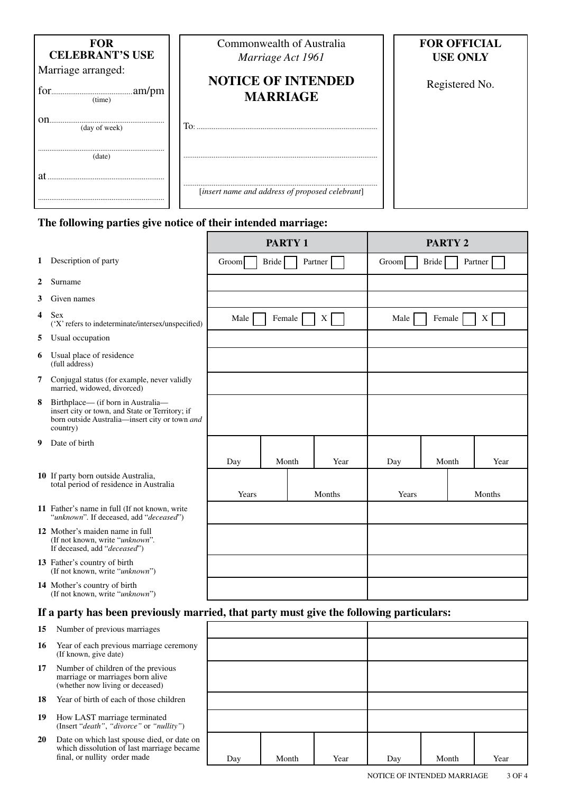| <b>FOR</b><br><b>CELEBRANT'S USE</b><br>Marriage arranged:<br>(time) | Commonwealth of Australia<br>Marriage Act 1961<br><b>NOTICE OF INTENDED</b><br><b>MARRIAGE</b> | <b>FOR OFFICIAL</b><br><b>USE ONLY</b><br>Registered No. |
|----------------------------------------------------------------------|------------------------------------------------------------------------------------------------|----------------------------------------------------------|
| on<br>(day of week)                                                  | To:                                                                                            |                                                          |
| (date)                                                               |                                                                                                |                                                          |
| at                                                                   | [insert name and address of proposed celebrant]                                                |                                                          |

#### **The following parties give notice of their intended marriage:**

|    |                                                                                                                                                     |       | <b>PARTY 1</b> |         |       |       | PARTY <sub>2</sub> |         |
|----|-----------------------------------------------------------------------------------------------------------------------------------------------------|-------|----------------|---------|-------|-------|--------------------|---------|
| 1  | Description of party                                                                                                                                | Groom | <b>Bride</b>   | Partner | Groom | Bride |                    | Partner |
| 2  | Surname                                                                                                                                             |       |                |         |       |       |                    |         |
| 3  | Given names                                                                                                                                         |       |                |         |       |       |                    |         |
| 4  | <b>Sex</b><br>('X' refers to indeterminate/intersex/unspecified)                                                                                    | Male  | Female         | X       | Male  |       | Female             | X       |
| 5  | Usual occupation                                                                                                                                    |       |                |         |       |       |                    |         |
| 6  | Usual place of residence<br>(full address)                                                                                                          |       |                |         |       |       |                    |         |
| 7  | Conjugal status (for example, never validly<br>married, widowed, divorced)                                                                          |       |                |         |       |       |                    |         |
| 8  | Birthplace— (if born in Australia—<br>insert city or town, and State or Territory; if<br>born outside Australia-insert city or town and<br>country) |       |                |         |       |       |                    |         |
| 9  | Date of birth                                                                                                                                       |       |                |         |       |       |                    |         |
|    |                                                                                                                                                     | Day   | Month          | Year    | Day   |       | Month              | Year    |
|    | 10 If party born outside Australia,<br>total period of residence in Australia                                                                       | Years |                | Months  | Years |       |                    | Months  |
|    | 11 Father's name in full (If not known, write<br>"unknown". If deceased, add "deceased")                                                            |       |                |         |       |       |                    |         |
|    | 12 Mother's maiden name in full<br>(If not known, write "unknown".<br>If deceased, add "deceased")                                                  |       |                |         |       |       |                    |         |
|    | 13 Father's country of birth<br>(If not known, write "unknown")                                                                                     |       |                |         |       |       |                    |         |
|    | 14 Mother's country of birth<br>(If not known, write "unknown")                                                                                     |       |                |         |       |       |                    |         |
|    | If a party has been previously married, that party must give the following particulars:                                                             |       |                |         |       |       |                    |         |
| 15 | Number of previous marriages                                                                                                                        |       |                |         |       |       |                    |         |

- **16** Year of each previous marriage ceremony (If known, give date)
- **17** Number of children of the previous marriage or marriages born alive (whether now living or deceased)
- **18** Year of birth of each of those children
- **19** How LAST marriage terminated (Insert "*death"*, *"divorce"* or *"nullity"*)
- **20** Date on which last spouse died, or date on which dissolution of last marriage became

| Number of previous marriages                                                                                            |     |       |      |     |       |      |
|-------------------------------------------------------------------------------------------------------------------------|-----|-------|------|-----|-------|------|
| Year of each previous marriage ceremony<br>(If known, give date)                                                        |     |       |      |     |       |      |
| Number of children of the previous<br>marriage or marriages born alive<br>(whether now living or deceased)              |     |       |      |     |       |      |
| Year of birth of each of those children                                                                                 |     |       |      |     |       |      |
| How LAST marriage terminated<br>(Insert "death", "divorce" or "nullity")                                                |     |       |      |     |       |      |
| Date on which last spouse died, or date on<br>which dissolution of last marriage became<br>final, or nullity order made | Day | Month | Year | Day | Month | Year |